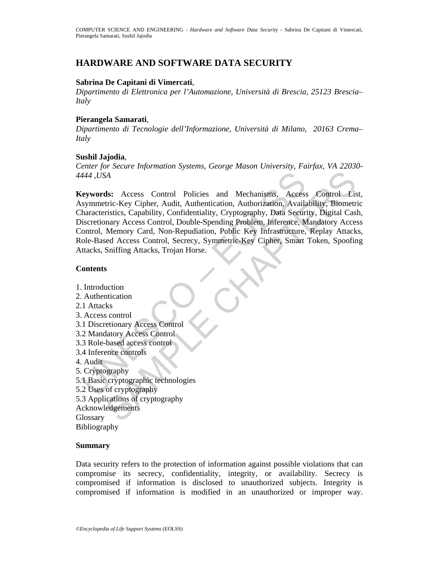# **HARDWARE AND SOFTWARE DATA SECURITY**

### **Sabrina De Capitani di Vimercati**,

*Dipartimento di Elettronica per l'Automazione, Università di Brescia, 25123 Brescia– Italy* 

#### **Pierangela Samarati**,

*Dipartimento di Tecnologie dell'Informazione, Università di Milano, 20163 Crema– Italy* 

#### **Sushil Jajodia**,

*Center for Secure Information Systems, George Mason University, Fairfax, VA 22030- 4444 ,USA*

444, USA<br>
(eywords: Access Control Policies and Mechanisms, Access<br>
symmetric-Key Cipher, Audit, Authentication, Authorization, Availa<br>
haracteristics, Capability, Confidentiality, Cryptography, Data Securi<br>
iscretionary A Examples and Mechanisms, Access Control Listric-Key Cipher, Audit, Authentication, Authorization, Availability, Biometristics, Capability, Confidentiality, Cryptography, Data Security, Digital Cashary Access Control, Doubl **Keywords:** Access Control Policies and Mechanisms, Access Control List, Asymmetric-Key Cipher, Audit, Authentication, Authorization, Availability, Biometric Characteristics, Capability, Confidentiality, Cryptography, Data Security, Digital Cash, Discretionary Access Control, Double-Spending Problem, Inference, Mandatory Access Control, Memory Card, Non-Repudiation, Public Key Infrastructure, Replay Attacks, Role-Based Access Control, Secrecy, Symmetric-Key Cipher, Smart Token, Spoofing Attacks, Sniffing Attacks, Trojan Horse.

### **Contents**

1. Introduction 2. Authentication 2.1 Attacks 3. Access control 3.1 Discretionary Access Control 3.2 Mandatory Access Control 3.3 Role-based access control 3.4 Inference controls 4. Audit 5. Cryptography 5.1 Basic cryptographic technologies 5.2 Uses of cryptography 5.3 Applications of cryptography Acknowledgements **Glossary** Bibliography

### **Summary**

Data security refers to the protection of information against possible violations that can compromise its secrecy, confidentiality, integrity, or availability. Secrecy is compromised if information is disclosed to unauthorized subjects. Integrity is compromised if information is modified in an unauthorized or improper way.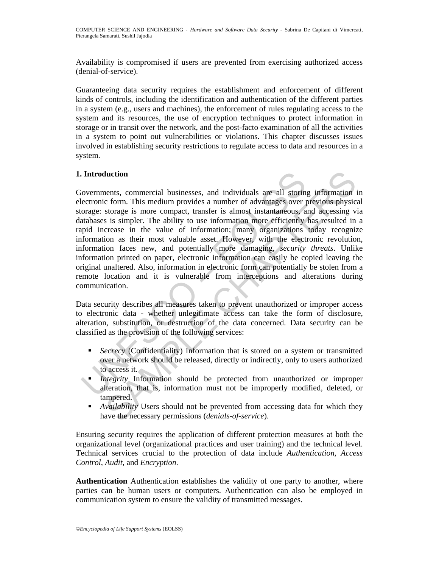Availability is compromised if users are prevented from exercising authorized access (denial-of-service).

Guaranteeing data security requires the establishment and enforcement of different kinds of controls, including the identification and authentication of the different parties in a system (e.g., users and machines), the enforcement of rules regulating access to the system and its resources, the use of encryption techniques to protect information in storage or in transit over the network, and the post-facto examination of all the activities in a system to point out vulnerabilities or violations. This chapter discusses issues involved in establishing security restrictions to regulate access to data and resources in a system.

## **1. Introduction**

Introduction<br>
iovernments, commercial businesses, and individuals are all storin<br>
iovernments, commercial businesses, and individuals are all storin<br>
iectronic form. This medium provides a number of advantages over prage: **Interior**<br> **Commercial businesses, and individuals are all storing information commencies** correm. This medium provides a number of advantages over previous physics<br>
storage is none compact, transfer is almost instantaneo Governments, commercial businesses, and individuals are all storing information in electronic form. This medium provides a number of advantages over previous physical storage: storage is more compact, transfer is almost instantaneous, and accessing via databases is simpler. The ability to use information more efficiently has resulted in a rapid increase in the value of information; many organizations today recognize information as their most valuable asset. However, with the electronic revolution, information faces new, and potentially more damaging, *security threats*. Unlike information printed on paper, electronic information can easily be copied leaving the original unaltered. Also, information in electronic form can potentially be stolen from a remote location and it is vulnerable from interceptions and alterations during communication.

Data security describes all measures taken to prevent unauthorized or improper access to electronic data - whether unlegitimate access can take the form of disclosure, alteration, substitution, or destruction of the data concerned. Data security can be classified as the provision of the following services:

- *Secrecy* (Confidentiality) Information that is stored on a system or transmitted over a network should be released, directly or indirectly, only to users authorized to access it.
- *Integrity* Information should be protected from unauthorized or improper alteration, that is, information must not be improperly modified, deleted, or tampered.
- *Availability* Users should not be prevented from accessing data for which they have the necessary permissions (*denials-of-service*).

Ensuring security requires the application of different protection measures at both the organizational level (organizational practices and user training) and the technical level. Technical services crucial to the protection of data include *Authentication*, *Access Control*, *Audit*, and *Encryption*.

**Authentication** Authentication establishes the validity of one party to another, where parties can be human users or computers. Authentication can also be employed in communication system to ensure the validity of transmitted messages.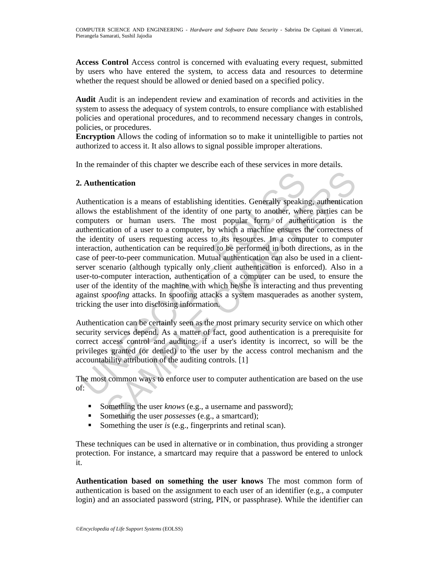**Access Control** Access control is concerned with evaluating every request, submitted by users who have entered the system, to access data and resources to determine whether the request should be allowed or denied based on a specified policy.

**Audit** Audit is an independent review and examination of records and activities in the system to assess the adequacy of system controls, to ensure compliance with established policies and operational procedures, and to recommend necessary changes in controls, policies, or procedures.

**Encryption** Allows the coding of information so to make it unintelligible to parties not authorized to access it. It also allows to signal possible improper alterations.

In the remainder of this chapter we describe each of these services in more details.

## **2. Authentication**

**Authentication**<br> **Authentication**<br> **Contriguist Authentication**<br> **Control**<br> **Control**<br> **Control**<br> **Control**<br> **Control**<br> **Control**<br> **Control**<br> **Control**<br> **Control**<br> **Control**<br> **Control**<br> **Control**<br> **Control**<br> **Control**<br> **ntication**<br>
action is a means of establishing identities. Generally speaking, authentication<br>
establishment of the identity of one party to another, where parties can<br>
est or shown users. The most popular form of authent Authentication is a means of establishing identities. Generally speaking, authentication allows the establishment of the identity of one party to another, where parties can be computers or human users. The most popular form of authentication is the authentication of a user to a computer, by which a machine ensures the correctness of the identity of users requesting access to its resources. In a computer to computer interaction, authentication can be required to be performed in both directions, as in the case of peer-to-peer communication. Mutual authentication can also be used in a clientserver scenario (although typically only client authentication is enforced). Also in a user-to-computer interaction, authentication of a computer can be used, to ensure the user of the identity of the machine with which he/she is interacting and thus preventing against *spoofing* attacks. In spoofing attacks a system masquerades as another system, tricking the user into disclosing information.

Authentication can be certainly seen as the most primary security service on which other security services depend. As a matter of fact, good authentication is a prerequisite for correct access control and auditing: if a user's identity is incorrect, so will be the privileges granted (or denied) to the user by the access control mechanism and the accountability attribution of the auditing controls. [1]

The most common ways to enforce user to computer authentication are based on the use of:

- Something the user *knows* (e.g., a username and password);
- Something the user *possesses* (e.g., a smartcard);
- Something the user *is* (e.g., fingerprints and retinal scan).

These techniques can be used in alternative or in combination, thus providing a stronger protection. For instance, a smartcard may require that a password be entered to unlock it.

**Authentication based on something the user knows** The most common form of authentication is based on the assignment to each user of an identifier (e.g., a computer login) and an associated password (string, PIN, or passphrase). While the identifier can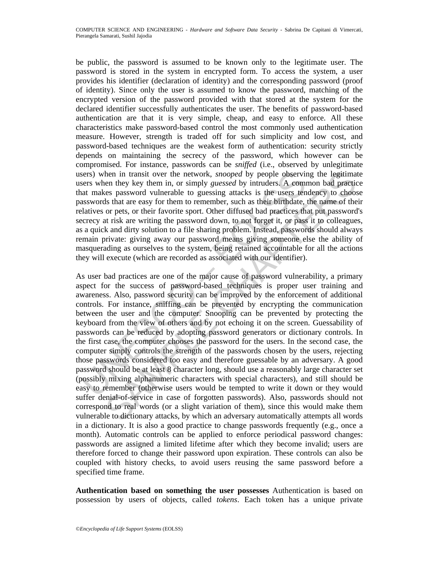be public, the password is assumed to be known only to the legitimate user. The password is stored in the system in encrypted form. To access the system, a user provides his identifier (declaration of identity) and the corresponding password (proof of identity). Since only the user is assumed to know the password, matching of the encrypted version of the password provided with that stored at the system for the declared identifier successfully authenticates the user. The benefits of password-based authentication are that it is very simple, cheap, and easy to enforce. All these characteristics make password-based control the most commonly used authentication measure. However, strength is traded off for such simplicity and low cost, and password-based techniques are the weakest form of authentication: security strictly depends on maintaining the secrecy of the password, which however can be compromised. For instance, passwords can be *sniffed* (i.e., observed by unlegitimate users) when in transit over the network, *snooped* by people observing the legitimate users when they key them in, or simply *guessed* by intruders. A common bad practice that makes password vulnerable to guessing attacks is the users tendency to choose passwords that are easy for them to remember, such as their birthdate, the name of their relatives or pets, or their favorite sport. Other diffused bad practices that put password's secrecy at risk are writing the password down, to not forget it, or pass it to colleagues, as a quick and dirty solution to a file sharing problem. Instead, passwords should always remain private: giving away our password means giving someone else the ability of masquerading as ourselves to the system, being retained accountable for all the actions they will execute (which are recorded as associated with our identifier).

sers) when in transit over the network, *snooped* by people observints weres when they key them in, or simply *guessed* by intruders. A commat makes password vulnerable to guessing attacks is the users ten assaysords that hen in transit over the network, *snooped* by people observing the legitimate of they then in, or simply *guessed* by intruders. A **common bad practice** as password vulntratable to guessing attacks is the users endenery to As user bad practices are one of the major cause of password vulnerability, a primary aspect for the success of password-based techniques is proper user training and awareness. Also, password security can be improved by the enforcement of additional controls. For instance, sniffing can be prevented by encrypting the communication between the user and the computer. Snooping can be prevented by protecting the keyboard from the view of others and by not echoing it on the screen. Guessability of passwords can be reduced by adopting password generators or dictionary controls. In the first case, the computer chooses the password for the users. In the second case, the computer simply controls the strength of the passwords chosen by the users, rejecting those passwords considered too easy and therefore guessable by an adversary. A good password should be at least 8 character long, should use a reasonably large character set (possibly mixing alphanumeric characters with special characters), and still should be easy to remember (otherwise users would be tempted to write it down or they would suffer denial-of-service in case of forgotten passwords). Also, passwords should not correspond to real words (or a slight variation of them), since this would make them vulnerable to dictionary attacks, by which an adversary automatically attempts all words in a dictionary. It is also a good practice to change passwords frequently (e.g., once a month). Automatic controls can be applied to enforce periodical password changes: passwords are assigned a limited lifetime after which they become invalid; users are therefore forced to change their password upon expiration. These controls can also be coupled with history checks, to avoid users reusing the same password before a specified time frame.

**Authentication based on something the user possesses** Authentication is based on possession by users of objects, called *tokens*. Each token has a unique private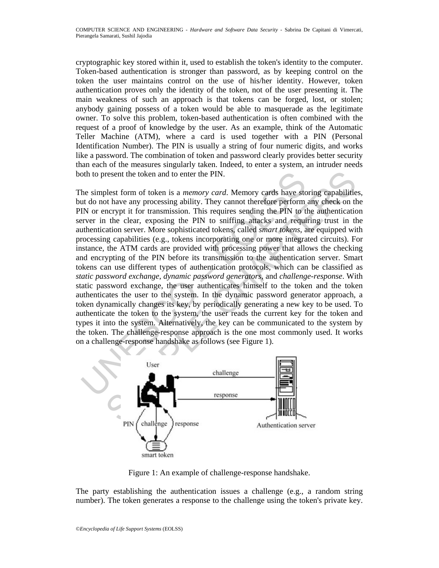cryptographic key stored within it, used to establish the token's identity to the computer. Token-based authentication is stronger than password, as by keeping control on the token the user maintains control on the use of his/her identity. However, token authentication proves only the identity of the token, not of the user presenting it. The main weakness of such an approach is that tokens can be forged, lost, or stolen; anybody gaining possess of a token would be able to masquerade as the legitimate owner. To solve this problem, token-based authentication is often combined with the request of a proof of knowledge by the user. As an example, think of the Automatic Teller Machine (ATM), where a card is used together with a PIN (Personal Identification Number). The PIN is usually a string of four numeric digits, and works like a password. The combination of token and password clearly provides better security than each of the measures singularly taken. Indeed, to enter a system, an intruder needs both to present the token and to enter the PIN.

oth to present the token and to enter the PIN.<br>
he simplest form of token and to enter the PIN.<br>
he simplest form of token is a *memory card*. Memory cards have sto<br>
tut do not have any processing ability. They cannot ther resent the token and to enter the PIN.<br>
Delst form of token is a *memory card*. Memory cards have storing capabilities<br>
thave any processing ability. They cannot therefore perform any check on the<br>
nervy ti for transmissio The simplest form of token is a *memory card*. Memory cards have storing capabilities, but do not have any processing ability. They cannot therefore perform any check on the PIN or encrypt it for transmission. This requires sending the PIN to the authentication server in the clear, exposing the PIN to sniffing attacks and requiring trust in the authentication server. More sophisticated tokens, called *smart tokens*, are equipped with processing capabilities (e.g., tokens incorporating one or more integrated circuits). For instance, the ATM cards are provided with processing power that allows the checking and encrypting of the PIN before its transmission to the authentication server. Smart tokens can use different types of authentication protocols, which can be classified as *static password exchange*, *dynamic password generators*, and *challenge-response*. With static password exchange, the user authenticates himself to the token and the token authenticates the user to the system. In the dynamic password generator approach, a token dynamically changes its key, by periodically generating a new key to be used. To authenticate the token to the system, the user reads the current key for the token and types it into the system. Alternatively, the key can be communicated to the system by the token. The challenge-response approach is the one most commonly used. It works on a challenge-response handshake as follows (see Figure 1).



Figure 1: An example of challenge-response handshake.

The party establishing the authentication issues a challenge (e.g., a random string number). The token generates a response to the challenge using the token's private key.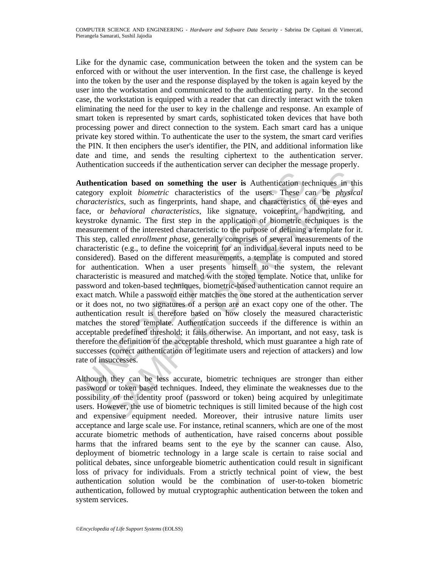Like for the dynamic case, communication between the token and the system can be enforced with or without the user intervention. In the first case, the challenge is keyed into the token by the user and the response displayed by the token is again keyed by the user into the workstation and communicated to the authenticating party. In the second case, the workstation is equipped with a reader that can directly interact with the token eliminating the need for the user to key in the challenge and response. An example of smart token is represented by smart cards, sophisticated token devices that have both processing power and direct connection to the system. Each smart card has a unique private key stored within. To authenticate the user to the system, the smart card verifies the PIN. It then enciphers the user's identifier, the PIN, and additional information like date and time, and sends the resulting ciphertext to the authentication server. Authentication succeeds if the authentication server can decipher the message properly.

**uthentication based on something the user is** Authentication tentegory exploit *biometric* characteristics of the users. These *characteristics*, such as fingerprints, hand shape, and characteristics coe, or *behavioral c* **ication based on something the user is** Authentication techniques in the exploit *biometric* characteristics of the users. These can be *physica*, such as fingerprints, hand shape, and characteristics of the eyes an *be* **Authentication based on something the user is** Authentication techniques in this category exploit *biometric* characteristics of the users. These can be *physical characteristics*, such as fingerprints, hand shape, and characteristics of the eyes and face, or *behavioral characteristics*, like signature, voiceprint, handwriting, and keystroke dynamic. The first step in the application of biometric techniques is the measurement of the interested characteristic to the purpose of defining a template for it. This step, called *enrollment phase*, generally comprises of several measurements of the characteristic (e.g., to define the voiceprint for an individual several inputs need to be considered). Based on the different measurements, a template is computed and stored for authentication. When a user presents himself to the system, the relevant characteristic is measured and matched with the stored template. Notice that, unlike for password and token-based techniques, biometric-based authentication cannot require an exact match. While a password either matches the one stored at the authentication server or it does not, no two signatures of a person are an exact copy one of the other. The authentication result is therefore based on how closely the measured characteristic matches the stored template. Authentication succeeds if the difference is within an acceptable predefined threshold; it fails otherwise. An important, and not easy, task is therefore the definition of the acceptable threshold, which must guarantee a high rate of successes (correct authentication of legitimate users and rejection of attackers) and low rate of insuccesses.

Although they can be less accurate, biometric techniques are stronger than either password or token based techniques. Indeed, they eliminate the weaknesses due to the possibility of the identity proof (password or token) being acquired by unlegitimate users. However, the use of biometric techniques is still limited because of the high cost and expensive equipment needed. Moreover, their intrusive nature limits user acceptance and large scale use. For instance, retinal scanners, which are one of the most accurate biometric methods of authentication, have raised concerns about possible harms that the infrared beams sent to the eye by the scanner can cause. Also, deployment of biometric technology in a large scale is certain to raise social and political debates, since unforgeable biometric authentication could result in significant loss of privacy for individuals. From a strictly technical point of view, the best authentication solution would be the combination of user-to-token biometric authentication, followed by mutual cryptographic authentication between the token and system services.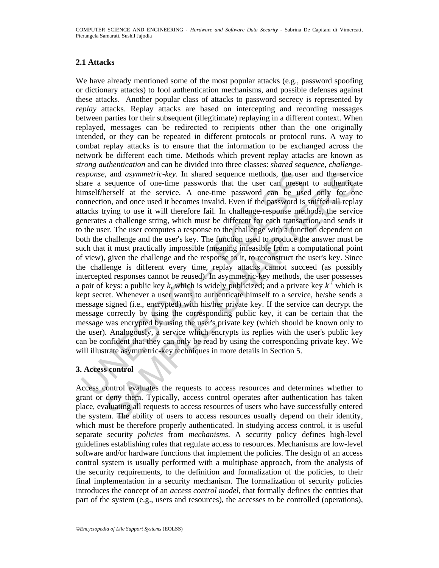## **2.1 Attacks**

sponse, and *asymmetric-key*. In shared sequence methods, the use<br>nare a sequence of one-time passwords that the user can present<br>immelf/heresti at the service. A one-time password can be use<br>onnection, and once used it be , and *asymmetric-key*. In shared sequence methods, the user and the service of one-time passwords that the user can present to authorical secretic af the extreme password can be used only for one-time password can be use We have already mentioned some of the most popular attacks (e.g., password spoofing or dictionary attacks) to fool authentication mechanisms, and possible defenses against these attacks. Another popular class of attacks to password secrecy is represented by *replay* attacks. Replay attacks are based on intercepting and recording messages between parties for their subsequent (illegitimate) replaying in a different context. When replayed, messages can be redirected to recipients other than the one originally intended, or they can be repeated in different protocols or protocol runs. A way to combat replay attacks is to ensure that the information to be exchanged across the network be different each time. Methods which prevent replay attacks are known as *strong authentication* and can be divided into three classes: *shared sequence*, *challengeresponse*, and *asymmetric-key*. In shared sequence methods, the user and the service share a sequence of one-time passwords that the user can present to authenticate himself/herself at the service. A one-time password can be used only for one connection, and once used it becomes invalid. Even if the password is sniffed all replay attacks trying to use it will therefore fail. In challenge-response methods, the service generates a challenge string, which must be different for each transaction, and sends it to the user. The user computes a response to the challenge with a function dependent on both the challenge and the user's key. The function used to produce the answer must be such that it must practically impossible (meaning infeasible from a computational point of view), given the challenge and the response to it, to reconstruct the user's key. Since the challenge is different every time, replay attacks cannot succeed (as possibly intercepted responses cannot be reused). In asymmetric-key methods, the user possesses a pair of keys: a public key k, which is widely publicized; and a private key  $k^T$  which is kept secret. Whenever a user wants to authenticate himself to a service, he/she sends a message signed (i.e., encrypted) with his/her private key. If the service can decrypt the message correctly by using the corresponding public key, it can be certain that the message was encrypted by using the user's private key (which should be known only to the user). Analogously, a service which encrypts its replies with the user's public key can be confident that they can only be read by using the corresponding private key. We will illustrate asymmetric-key techniques in more details in Section 5.

### **3. Access control**

Access control evaluates the requests to access resources and determines whether to grant or deny them. Typically, access control operates after authentication has taken place, evaluating all requests to access resources of users who have successfully entered the system. The ability of users to access resources usually depend on their identity, which must be therefore properly authenticated. In studying access control, it is useful separate security *policies* from *mechanisms*. A security policy defines high-level guidelines establishing rules that regulate access to resources. Mechanisms are low-level software and/or hardware functions that implement the policies. The design of an access control system is usually performed with a multiphase approach, from the analysis of the security requirements, to the definition and formalization of the policies, to their final implementation in a security mechanism. The formalization of security policies introduces the concept of an *access control model*, that formally defines the entities that part of the system (e.g., users and resources), the accesses to be controlled (operations),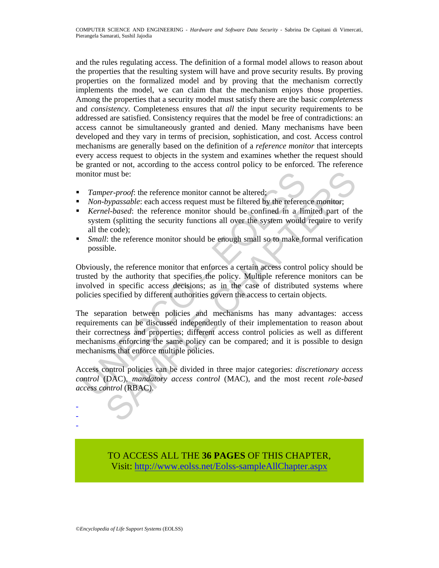and the rules regulating access. The definition of a formal model allows to reason about the properties that the resulting system will have and prove security results. By proving properties on the formalized model and by proving that the mechanism correctly implements the model, we can claim that the mechanism enjoys those properties. Among the properties that a security model must satisfy there are the basic *completeness* and *consistency*. Completeness ensures that *all* the input security requirements to be addressed are satisfied. Consistency requires that the model be free of contradictions: an access cannot be simultaneously granted and denied. Many mechanisms have been developed and they vary in terms of precision, sophistication, and cost. Access control mechanisms are generally based on the definition of a *reference monitor* that intercepts every access request to objects in the system and examines whether the request should be granted or not, according to the access control policy to be enforced. The reference monitor must be:

- *Tamper-proof*: the reference monitor cannot be altered;
- **Non-bypassable:** each access request must be filtered by the reference monitor;
- *Kernel-based*: the reference monitor should be confined in a limited part of the system (splitting the security functions all over the system would require to verify all the code);
- *Small*: the reference monitor should be enough small so to make formal verification possible.

Obviously, the reference monitor that enforces a certain access control policy should be trusted by the authority that specifies the policy. Multiple reference monitors can be involved in specific access decisions; as in the case of distributed systems where policies specified by different authorities govern the access to certain objects.

onitor must be:<br> *Tamper-proof:* the reference monitor cannot be altered;<br> *Non-bypassable:* each access request must be filtered by the referen<br> *Kernel-based:* the reference monitor should be confined in a lin<br>
system ( must be:<br> *oer-proof*: the reference monitor cannot be altered;<br>
bypassable: each access request must be filtered by the reference monitor;<br>
el-based: the reference monitor should be confined in a limited part of the<br>
in ( The separation between policies and mechanisms has many advantages: access requirements can be discussed independently of their implementation to reason about their correctness and properties; different access control policies as well as different mechanisms enforcing the same policy can be compared; and it is possible to design mechanisms that enforce multiple policies.

Access control policies can be divided in three major categories: *discretionary access control* (DAC), *mandatory access control* (MAC), and the most recent *role-based access control* (RBAC).

> TO ACCESS ALL THE **36 PAGES** OF THIS CHAPTER, Visit: [http://www.eolss.net/Eolss-sampleAllChapter.aspx](https://www.eolss.net/ebooklib/sc_cart.aspx?File=E6-45-06-01)

- - -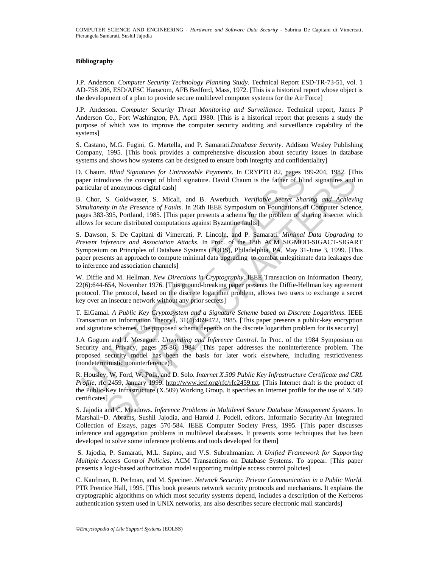#### **Bibliography**

J.P. Anderson. *Computer Security Technology Planning Study*. Technical Report ESD-TR-73-51, vol. 1 AD-758 206, ESD/AFSC Hanscom, AFB Bedford, Mass, 1972. [This is a historical report whose object is the development of a plan to provide secure multilevel computer systems for the Air Force]

J.P. Anderson. *Computer Security Threat Monitoring and Surveillance*. Technical report, James P Anderson Co., Fort Washington, PA, April 1980. [This is a historical report that presents a study the purpose of which was to improve the computer security auditing and surveillance capability of the systems]

S. Castano, M.G. Fugini, G. Martella, and P. Samarati.*Database Security*. Addison Wesley Publishing Company, 1995. [This book provides a comprehensive discussion about security issues in database systems and shows how systems can be designed to ensure both integrity and confidentiality]

D. Chaum. *Blind Signatures for Untraceable Payments*. In CRYPTO 82, pages 199-204, 1982. [This paper introduces the concept of blind signature. David Chaum is the father of blind signatures and in particular of anonymous digital cash]

B. Chor, S. Goldwasser, S. Micali, and B. Awerbuch. *Verifiable Secret Sharing and Achieving Simultaneity in the Presence of Faults*. In 26th IEEE Symposium on Foundations of Computer Science, pages 383-395, Portland, 1985. [This paper presents a schema for the problem of sharing a secret which allows for secure distributed computations against Byzantine faults]

Chaum. *Blind Signatures for Uninceceable Payments*. In CRYPTO 82, pages 1<br>
Chaum. Blind Signature. David Chaum is the father of blind<br>
uricular of anonymous digital cash<br>
curicular of anonymous digital cash<br>
Chor, S. Gol *Bilma Signatures for Untraccelale Penyments*. In CRYPTO 82, pages 199-204, 1982. [This Signature, Data concept of bind signature. David Cham is the father of bind signatures and S. Coldwaser, S. Micali, and B. Awerbuch. S. Dawson, S. De Capitani di Vimercati, P. Lincoln, and P. Samarati. *Minimal Data Upgrading to Prevent Inference and Association Attacks*. In Proc. of the 18th ACM SIGMOD-SIGACT-SIGART Symposium on Principles of Database Systems (PODS), Philadelphia, PA, May 31-June 3, 1999. [This paper presents an approach to compute minimal data upgrading to combat unlegitimate data leakages due to inference and association channels]

W. Diffie and M. Hellman. *New Directions in Cryptography*. IEEE Transaction on Information Theory, 22(6):644-654, November 1976. [This ground-breaking paper presents the Diffie-Hellman key agreement protocol. The protocol, based on the discrete logarithm problem, allows two users to exchange a secret key over an insecure network without any prior secrets]

T. ElGamal. *A Public Key Cryptosystem and a Signature Scheme based on Discrete Logarithms*. IEEE Transaction on Information Theory}, 31(4):469-472, 1985. [This paper presents a public-key encryption and signature schemes. The proposed schema depends on the discrete logarithm problem for its security]

J.A Goguen and J. Meseguer. *Unwinding and Inference Control*. In Proc. of the 1984 Symposium on Security and Privacy, pages 75-86, 1984. [This paper addresses the noninterference problem. The proposed security model has been the basis for later work elsewhere, including restrictiveness (nondeterministic noninterference)]

R. Housley, W. Ford, W. Polk, and D. Solo. *Internet X.509 Public Key Infrastructure Certificate and CRL Profile*, rfc 2459, January 1999. http://www.ietf.org/rfc/rfc2459.txt. [This Internet draft is the product of the Public-Key Infrastructure (X.509) Working Group. It specifies an Internet profile for the use of X.509 certificates]

S. Jajodia and C. Meadows. *Inference Problems in Multilevel Secure Database Management Systems*. In Marshall~D. Abrams, Sushil Jajodia, and Harold J. Podell, editors, Informatio Security-An Integrated Collection of Essays, pages 570-584. IEEE Computer Society Press, 1995. [This paper discusses inference and aggregation problems in multilevel databases. It presents some techniques that has been developed to solve some inference problems and tools developed for them]

 S. Jajodia, P. Samarati, M.L. Sapino, and V.S. Subrahmanian. *A Unified Framework for Supporting Multiple Access Control Policies*. ACM Transactions on Database Systems. To appear. [This paper presents a logic-based authorization model supporting multiple access control policies]

C. Kaufman, R. Perlman, and M. Speciner. *Network Security: Private Communication in a Public World*. PTR Prentice Hall, 1995. [This book presents network security protocols and mechanisms. It explains the cryptographic algorithms on which most security systems depend, includes a description of the Kerberos authentication system used in UNIX networks, ans also describes secure electronic mail standards]